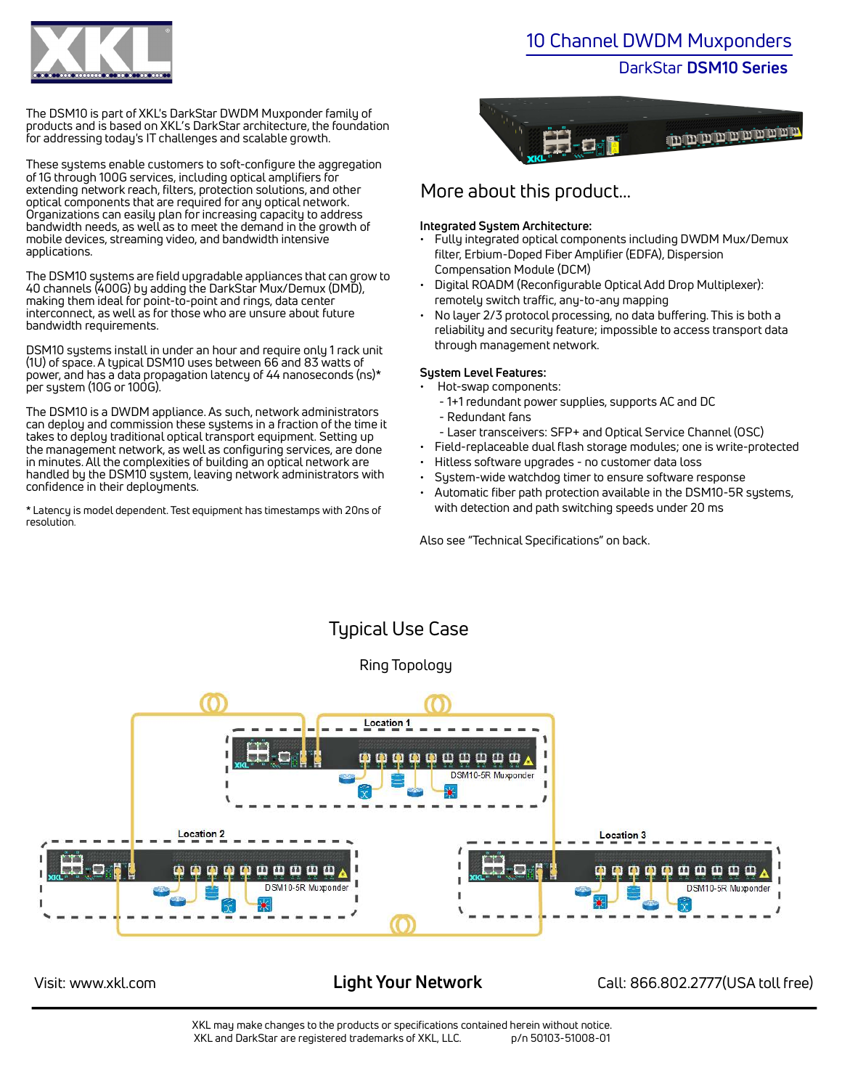

The DSM10 is part of XKL's DarkStar DWDM Muxponder family of products and is based on XKL's DarkStar architecture, the foundation for addressing today's IT challenges and scalable growth.

These systems enable customers to soft-configure the aggregation of 1G through 100G services, including optical amplifiers for extending network reach, filters, protection solutions, and other optical components that are required for any optical network. Organizations can easily plan for increasing capacity to address bandwidth needs, as well as to meet the demand in the growth of mobile devices, streaming video, and bandwidth intensive applications.

The DSM10 systems are field upgradable appliances that can grow to 40 channels (400G) by adding the DarkStar Mux/Demux (DMD), making them ideal for point-to-point and rings, data center interconnect, as well as for those who are unsure about future bandwidth requirements.

DSM10 systems install in under an hour and require only 1 rack unit (1U) of space. A typical DSM10 uses between 66 and 83 watts of power, and has a data propagation latency of 44 nanoseconds (ns)\* per system (10G or 100G).

The DSM10 is a DWDM appliance. As such, network administrators can deploy and commission these systems in a fraction of the time it takes to deploy traditional optical transport equipment. Setting up the management network, as well as configuring services, are done in minutes. All the complexities of building an optical network are handled by the DSM10 system, leaving network administrators with confidence in their deployments.

\* Latency is model dependent. Test equipment has timestamps with 20ns of resolution.

# 10 Channel DWDM Muxponders

# DarkStar **DSM10 Series**



# More about this product...

# **Integrated System Architecture:**

- Fully integrated optical components including DWDM Mux/Demux filter, Erbium-Doped Fiber Amplifier (EDFA), Dispersion Compensation Module (DCM)
- Digital ROADM (Reconfigurable Optical Add Drop Multiplexer): remotely switch traffic, any-to-any mapping
- No layer 2/3 protocol processing, no data buffering. This is both a reliability and security feature; impossible to access transport data through management network.

# **System Level Features:**

- Hot-swap components:
	- 1+1 redundant power supplies, supports AC and DC
	- Redundant fans
	- Laser transceivers: SFP+ and Optical Service Channel (OSC)
- Field-replaceable dual flash storage modules; one is write-protected
- Hitless software upgrades no customer data loss
- System-wide watchdog timer to ensure software response
- Automatic fiber path protection available in the DSM10-5R systems, with detection and path switching speeds under 20 ms

Also see "Technical Specifications" on back.



Visit: www.xkl.com **Light Your Network** Call: 866.802.2777(USA toll free)